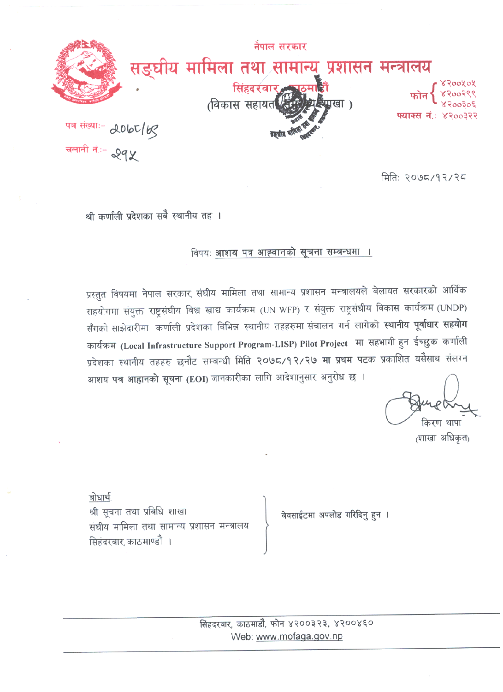

मितिः २०७८/१२/२८

श्री कर्णाली प्रदेशका सबै स्थानीय तह ।

विषयः आशय पत्र आह्वानको सूचना सम्बन्धमा ।

प्रस्तुत विषयमा नेपाल सरकार संघीय मामिला तथा सामान्य प्रशासन मन्त्रालयले बेलायत सरकारको आर्थिक सहयोगमा संयुक्त राष्ट्रसंघीय विश्व खाद्य कार्यक्रम (UN WFP) र संयुक्त राष्ट्रसंघीय विकास कार्यक्रम (UNDP) सँगको साझेदारीमा कर्णाली प्रदेशका बिभिन्न स्थानीय तहहरुमा संचालन गर्न लागेको स्थानीय पूर्वाधार सहयोग कार्यक्रम (Local Infrastructure Support Program-LISP) Pilot Project मा सहभागी हुन ईच्छुक कर्णाली प्रदेशका स्थानीय तहहरु छनौट सम्बन्धी मिति २०७८/१२/२७ मा प्रथम पटक प्रकाशित यसैसाथ संलग्न आशय पत्र आह्वानको सूचना (EOI) जानकारीका लागि आदेशानुसार अनुरोध छ ।

किरण थापा

<sub>(</sub>शाखा अधिकत<sub>)</sub>

बोधार्थ श्री सूचना तथा प्रविधि शाखा संघीय मामिला तथा सामान्य प्रशासन मन्त्रालय सिहंदरबार काठमाण्डौं ।

वेवसाईटमा अपलोड गरिदिनु हुन ।

सिंहदरवार, काठमाडौ, फोन ४२००३२३, ४२००४६० Web: www.mofaga.gov.np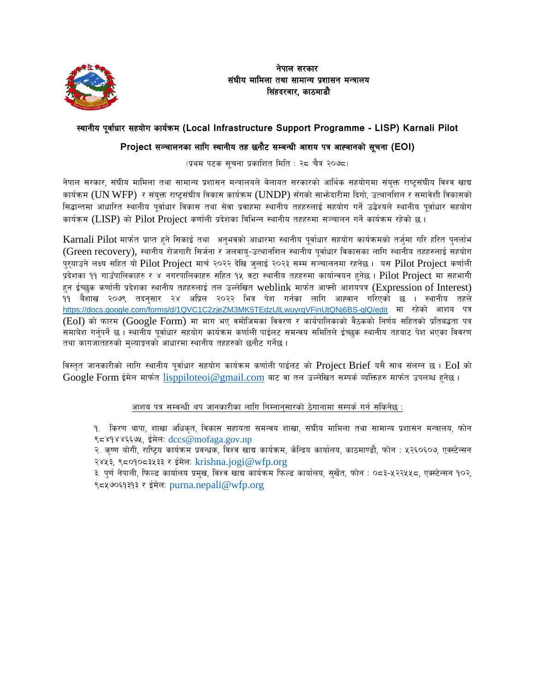

### नेपाल सरकार संघीय मामिला तथा सामान्य प्रशासन मन्त्रालय सिंहदरवार, काठमाडौ

## :yfgLo k"jf{wf/ ;xof]u sfo{qmd **(Local Infrastructure Support Programme - LISP) Karnali Pilot**

## Project सञ्चालनका लागि स्थानीय तह छनौट सम्बन्धी आशय पत्र आह्वानको सूचना (EOI)

(प्रथम पटक सूचना प्रकाशित मिति : २८ चैत्र २०७८)

नेपाल सरकार, संघीय मामिला तथा सामान्य प्रशासन मन्त्रालयले बेलायत सरकारको आर्थिक सहयोगमा संयुक्त राष्ट्रसंघीय विश्व खाद्य कार्यक्रम (UN WFP) र संयक्त राष्टसंघीय विकास कार्यक्रम (UNDP) सँगको साभेदारीमा दिगो, उत्थानशिल र समावेशी विकासको सिद्धान्तमा आधारित स्थानीय पूर्वाधार विकास तथा सेवा प्रवाहमा स्थानीय तहहरुलाई सहयोग गर्ने उद्बेश्यले स्थानीय पूर्वाधार सहयोग कार्यक्रम (LISP) को Pilot Project कर्णाली प्रदेशका बिभिन्न स्थानीय तहहरुमा सञ्चालन गर्ने कार्यक्रम रहेको छ।

 $Karnali$  Pilot मार्फत प्राप्त हुने सिकाई तथा अनभवको आधारमा स्थानीय पर्वाधार सहयोग कार्यक्रमको तर्जमा गरि हरित पनर्लाभ (Green recovery), स्थानीय रोजगारी सिर्जना र जलवाय-उत्थानशिल स्थानीय पुर्वाधार विकासका लागि स्थानीय तहहरुलाई सहयोग प्**रयाउने लक्ष्य सहित यो Pilot Project मार्च** २०२२ देखि जुलाई २०२३ सम्म सञ्चालनमा रहनेछ । यस Pilot Project कर्णाली प्रदेशका ११ गाउँपालिकाहरु र ४ नगरपालिकाहरु सहित १५ वटा स्थानीय तहहरुमा कार्यान्वयन हनेछ। Pilot Project मा सहभागी हन ईच्छुक कर्णाली प्रदेशका स्थानीय तहहरुलाई तल उल्लेखित weblink मार्फत आफ्नो आशयपत्र (Expression of Interest) ११ बैशाख २०७९ तदनुसार २४ अप्रिल २०२२ भित्र पेश गर्नका लागि आह्वान गरिएको छ । स्थानीय तहले <https://docs.google.com/forms/d/1QVC1C2zjeZM3MK5TEdzUlLwuyrqVFinUtQNj6BS-qlQ/edit> मा रहेको आशय पत्र  $(EoI)$  को फारम  $(Google Form)$  मा माग भए वमोजिमका विवरण र कार्यपालिकाको वैठकको निर्णय सहितको प्रतिबद्धता पत्र समाबेश गर्नुपर्ने छ । स्थानीय पुर्वाधार सहयोग कार्यक्रम कर्णाली पाईलट समन्वय समितिले ईच्छक स्थानीय तहबाट पेश भएका विवरण तथा कागजाँतहरुको मुल्याङ्कनको आधारमा स्थानीय तहहरुको छनौट गर्नेछ ।

विस्तृत जानकारीको लागि स्थानीय पूर्वाधार सहयोग कार्यक्रम कर्णाली पाईलट को Project Brief यसै साथ संलग्न छ। EoI को Google Form ईमेल मार्फत [lisppiloteoi@gmail.com](mailto:lisppiloteoi@gmail.com) बाट वा तल उल्लेखित सम्पर्क व्यक्तिहरु मार्फत उपलब्ध हनेछ।

#### आशय पत्र सम्बन्धी थप जानकारीका लागि निम्नानसारको ठेगानामा सम्पर्क गर्न सकिनेछ :

१. किरण थापा, शाखा अधिकृत, विकास सहायता समन्वय शाखा, संघीय मामिला तथा सामान्य प्रशासन मन्त्रालय, फोन ९८४१४४६६७५, ईमेल: dccs@mofaga.gov.np

२. कृष्ण योगी, राष्ट्रिय कार्यक्रम प्रवन्धक, विश्व खाद्य कार्यक्रम, केन्द्रिय कार्यालय, काठमाण्डौ, फोन : ५२६०६०७, एक्स्टेन्सन २४५३, ९८०१०८३५३३ र ईमेल: [krishna.jogi@wfp.org](mailto:krishna.jogi@wfp.org)

३. पूर्ण नेपाली, फिल्ड कार्यालय प्रमुख, विश्व खाद्य कार्यक्रम फिल्ड कार्यालय, सुर्खेत, फोन : ०८३-५२२५५८, एक्स्टेन्सन १०२, ९८५७०६१३१३ र ईमेलः purna.nepali@wfp.org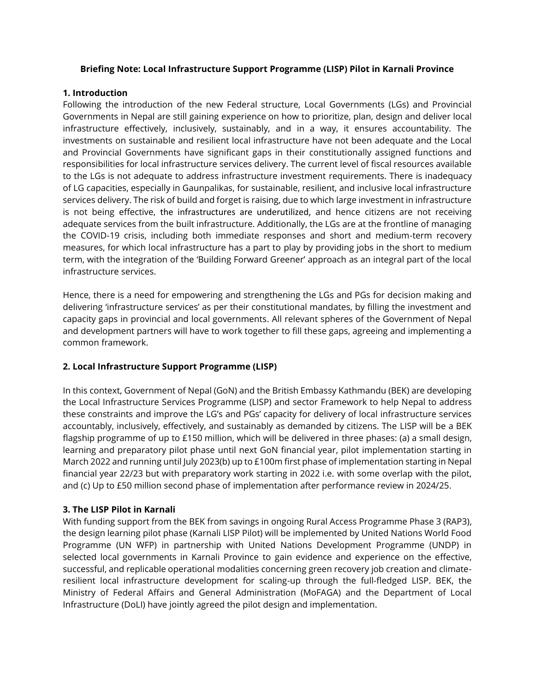#### **Briefing Note: Local Infrastructure Support Programme (LISP) Pilot in Karnali Province**

#### **1. Introduction**

Following the introduction of the new Federal structure, Local Governments (LGs) and Provincial Governments in Nepal are still gaining experience on how to prioritize, plan, design and deliver local infrastructure effectively, inclusively, sustainably, and in a way, it ensures accountability. The investments on sustainable and resilient local infrastructure have not been adequate and the Local and Provincial Governments have significant gaps in their constitutionally assigned functions and responsibilities for local infrastructure services delivery. The current level of fiscal resources available to the LGs is not adequate to address infrastructure investment requirements. There is inadequacy of LG capacities, especially in Gaunpalikas, for sustainable, resilient, and inclusive local infrastructure services delivery. The risk of build and forget is raising, due to which large investment in infrastructure is not being effective, the infrastructures are underutilized, and hence citizens are not receiving adequate services from the built infrastructure. Additionally, the LGs are at the frontline of managing the COVID-19 crisis, including both immediate responses and short and medium-term recovery measures, for which local infrastructure has a part to play by providing jobs in the short to medium term, with the integration of the 'Building Forward Greener' approach as an integral part of the local infrastructure services.

Hence, there is a need for empowering and strengthening the LGs and PGs for decision making and delivering 'infrastructure services' as per their constitutional mandates, by filling the investment and capacity gaps in provincial and local governments. All relevant spheres of the Government of Nepal and development partners will have to work together to fill these gaps, agreeing and implementing a common framework.

## **2. Local Infrastructure Support Programme (LISP)**

In this context, Government of Nepal (GoN) and the British Embassy Kathmandu (BEK) are developing the Local Infrastructure Services Programme (LISP) and sector Framework to help Nepal to address these constraints and improve the LG's and PGs' capacity for delivery of local infrastructure services accountably, inclusively, effectively, and sustainably as demanded by citizens. The LISP will be a BEK flagship programme of up to £150 million, which will be delivered in three phases: (a) a small design, learning and preparatory pilot phase until next GoN financial year, pilot implementation starting in March 2022 and running until July 2023(b) up to £100m first phase of implementation starting in Nepal financial year 22/23 but with preparatory work starting in 2022 i.e. with some overlap with the pilot, and (c) Up to £50 million second phase of implementation after performance review in 2024/25.

## **3. The LISP Pilot in Karnali**

With funding support from the BEK from savings in ongoing Rural Access Programme Phase 3 (RAP3), the design learning pilot phase (Karnali LISP Pilot) will be implemented by United Nations World Food Programme (UN WFP) in partnership with United Nations Development Programme (UNDP) in selected local governments in Karnali Province to gain evidence and experience on the effective, successful, and replicable operational modalities concerning green recovery job creation and climateresilient local infrastructure development for scaling-up through the full-fledged LISP. BEK, the Ministry of Federal Affairs and General Administration (MoFAGA) and the Department of Local Infrastructure (DoLI) have jointly agreed the pilot design and implementation.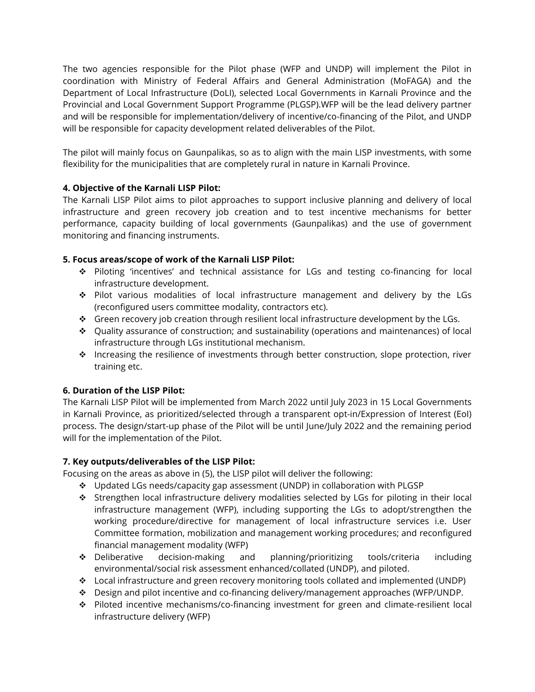The two agencies responsible for the Pilot phase (WFP and UNDP) will implement the Pilot in coordination with Ministry of Federal Affairs and General Administration (MoFAGA) and the Department of Local Infrastructure (DoLI), selected Local Governments in Karnali Province and the Provincial and Local Government Support Programme (PLGSP).WFP will be the lead delivery partner and will be responsible for implementation/delivery of incentive/co-financing of the Pilot, and UNDP will be responsible for capacity development related deliverables of the Pilot.

The pilot will mainly focus on Gaunpalikas, so as to align with the main LISP investments, with some flexibility for the municipalities that are completely rural in nature in Karnali Province.

# **4. Objective of the Karnali LISP Pilot:**

The Karnali LISP Pilot aims to pilot approaches to support inclusive planning and delivery of local infrastructure and green recovery job creation and to test incentive mechanisms for better performance, capacity building of local governments (Gaunpalikas) and the use of government monitoring and financing instruments.

## **5. Focus areas/scope of work of the Karnali LISP Pilot:**

- ❖ Piloting 'incentives' and technical assistance for LGs and testing co-financing for local infrastructure development.
- ❖ Pilot various modalities of local infrastructure management and delivery by the LGs (reconfigured users committee modality, contractors etc).
- ❖ Green recovery job creation through resilient local infrastructure development by the LGs.
- ❖ Quality assurance of construction; and sustainability (operations and maintenances) of local infrastructure through LGs institutional mechanism.
- ❖ Increasing the resilience of investments through better construction, slope protection, river training etc.

## **6. Duration of the LISP Pilot:**

The Karnali LISP Pilot will be implemented from March 2022 until July 2023 in 15 Local Governments in Karnali Province, as prioritized/selected through a transparent opt-in/Expression of Interest (EoI) process. The design/start-up phase of the Pilot will be until June/July 2022 and the remaining period will for the implementation of the Pilot.

## **7. Key outputs/deliverables of the LISP Pilot:**

Focusing on the areas as above in (5), the LISP pilot will deliver the following:

- ❖ Updated LGs needs/capacity gap assessment (UNDP) in collaboration with PLGSP
- ❖ Strengthen local infrastructure delivery modalities selected by LGs for piloting in their local infrastructure management (WFP), including supporting the LGs to adopt/strengthen the working procedure/directive for management of local infrastructure services i.e. User Committee formation, mobilization and management working procedures; and reconfigured financial management modality (WFP)
- ❖ Deliberative decision-making and planning/prioritizing tools/criteria including environmental/social risk assessment enhanced/collated (UNDP), and piloted.
- ❖ Local infrastructure and green recovery monitoring tools collated and implemented (UNDP)
- ❖ Design and pilot incentive and co-financing delivery/management approaches (WFP/UNDP.
- ❖ Piloted incentive mechanisms/co-financing investment for green and climate-resilient local infrastructure delivery (WFP)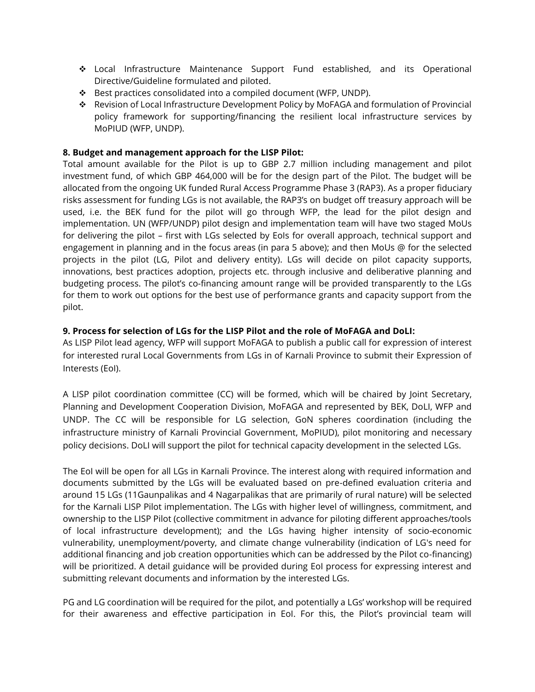- ❖ Local Infrastructure Maintenance Support Fund established, and its Operational Directive/Guideline formulated and piloted.
- ❖ Best practices consolidated into a compiled document (WFP, UNDP).
- ❖ Revision of Local Infrastructure Development Policy by MoFAGA and formulation of Provincial policy framework for supporting/financing the resilient local infrastructure services by MoPIUD (WFP, UNDP).

### **8. Budget and management approach for the LISP Pilot:**

Total amount available for the Pilot is up to GBP 2.7 million including management and pilot investment fund, of which GBP 464,000 will be for the design part of the Pilot. The budget will be allocated from the ongoing UK funded Rural Access Programme Phase 3 (RAP3). As a proper fiduciary risks assessment for funding LGs is not available, the RAP3's on budget off treasury approach will be used, i.e. the BEK fund for the pilot will go through WFP, the lead for the pilot design and implementation. UN (WFP/UNDP) pilot design and implementation team will have two staged MoUs for delivering the pilot – first with LGs selected by EoIs for overall approach, technical support and engagement in planning and in the focus areas (in para 5 above); and then MoUs @ for the selected projects in the pilot (LG, Pilot and delivery entity). LGs will decide on pilot capacity supports, innovations, best practices adoption, projects etc. through inclusive and deliberative planning and budgeting process. The pilot's co-financing amount range will be provided transparently to the LGs for them to work out options for the best use of performance grants and capacity support from the pilot.

#### **9. Process for selection of LGs for the LISP Pilot and the role of MoFAGA and DoLI:**

As LISP Pilot lead agency, WFP will support MoFAGA to publish a public call for expression of interest for interested rural Local Governments from LGs in of Karnali Province to submit their Expression of Interests (EoI).

A LISP pilot coordination committee (CC) will be formed, which will be chaired by Joint Secretary, Planning and Development Cooperation Division, MoFAGA and represented by BEK, DoLI, WFP and UNDP. The CC will be responsible for LG selection, GoN spheres coordination (including the infrastructure ministry of Karnali Provincial Government, MoPIUD), pilot monitoring and necessary policy decisions. DoLI will support the pilot for technical capacity development in the selected LGs.

The EoI will be open for all LGs in Karnali Province. The interest along with required information and documents submitted by the LGs will be evaluated based on pre-defined evaluation criteria and around 15 LGs (11Gaunpalikas and 4 Nagarpalikas that are primarily of rural nature) will be selected for the Karnali LISP Pilot implementation. The LGs with higher level of willingness, commitment, and ownership to the LISP Pilot (collective commitment in advance for piloting different approaches/tools of local infrastructure development); and the LGs having higher intensity of socio-economic vulnerability, unemployment/poverty, and climate change vulnerability (indication of LG's need for additional financing and job creation opportunities which can be addressed by the Pilot co-financing) will be prioritized. A detail guidance will be provided during EoI process for expressing interest and submitting relevant documents and information by the interested LGs.

PG and LG coordination will be required for the pilot, and potentially a LGs' workshop will be required for their awareness and effective participation in EoI. For this, the Pilot's provincial team will